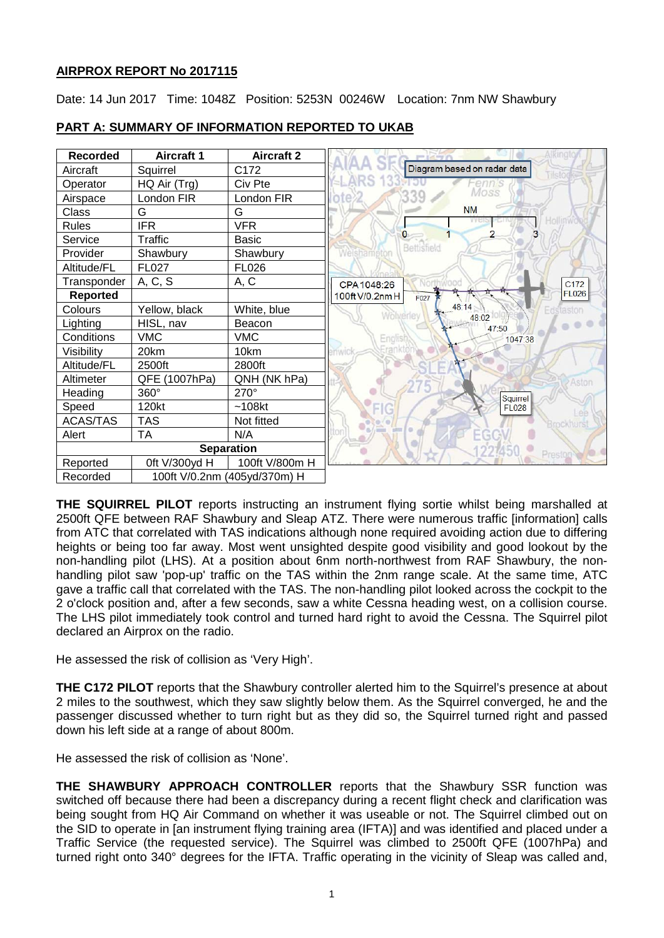# **AIRPROX REPORT No 2017115**

Date: 14 Jun 2017 Time: 1048Z Position: 5253N 00246W Location: 7nm NW Shawbury



# **PART A: SUMMARY OF INFORMATION REPORTED TO UKAB**

**THE SQUIRREL PILOT** reports instructing an instrument flying sortie whilst being marshalled at 2500ft QFE between RAF Shawbury and Sleap ATZ. There were numerous traffic [information] calls from ATC that correlated with TAS indications although none required avoiding action due to differing heights or being too far away. Most went unsighted despite good visibility and good lookout by the non-handling pilot (LHS). At a position about 6nm north-northwest from RAF Shawbury, the nonhandling pilot saw 'pop-up' traffic on the TAS within the 2nm range scale. At the same time, ATC gave a traffic call that correlated with the TAS. The non-handling pilot looked across the cockpit to the 2 o'clock position and, after a few seconds, saw a white Cessna heading west, on a collision course. The LHS pilot immediately took control and turned hard right to avoid the Cessna. The Squirrel pilot declared an Airprox on the radio.

He assessed the risk of collision as 'Very High'.

**THE C172 PILOT** reports that the Shawbury controller alerted him to the Squirrel's presence at about 2 miles to the southwest, which they saw slightly below them. As the Squirrel converged, he and the passenger discussed whether to turn right but as they did so, the Squirrel turned right and passed down his left side at a range of about 800m.

He assessed the risk of collision as 'None'.

**THE SHAWBURY APPROACH CONTROLLER** reports that the Shawbury SSR function was switched off because there had been a discrepancy during a recent flight check and clarification was being sought from HQ Air Command on whether it was useable or not. The Squirrel climbed out on the SID to operate in [an instrument flying training area (IFTA)] and was identified and placed under a Traffic Service (the requested service). The Squirrel was climbed to 2500ft QFE (1007hPa) and turned right onto 340° degrees for the IFTA. Traffic operating in the vicinity of Sleap was called and,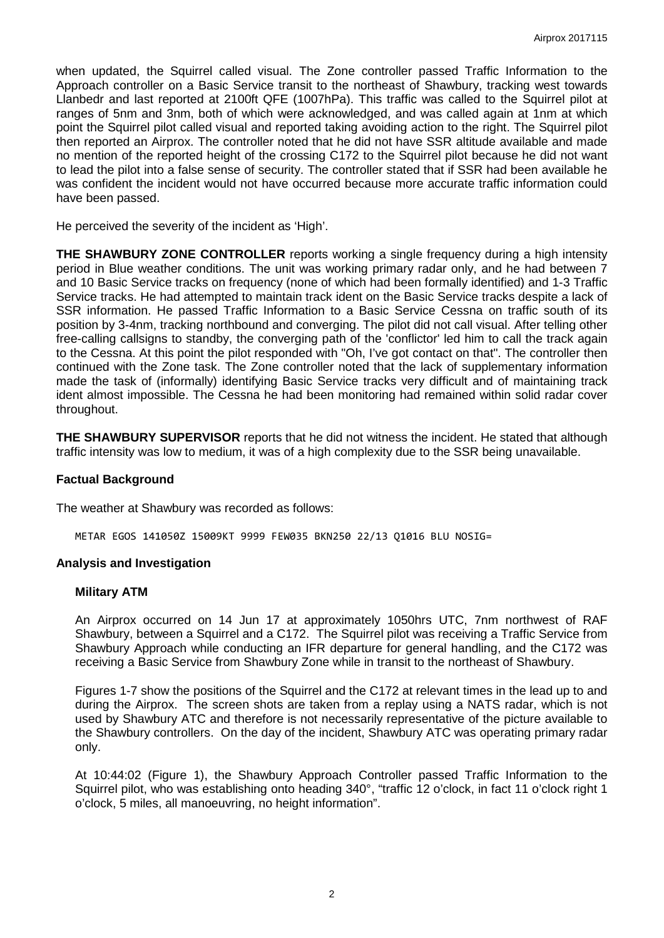when updated, the Squirrel called visual. The Zone controller passed Traffic Information to the Approach controller on a Basic Service transit to the northeast of Shawbury, tracking west towards Llanbedr and last reported at 2100ft QFE (1007hPa). This traffic was called to the Squirrel pilot at ranges of 5nm and 3nm, both of which were acknowledged, and was called again at 1nm at which point the Squirrel pilot called visual and reported taking avoiding action to the right. The Squirrel pilot then reported an Airprox. The controller noted that he did not have SSR altitude available and made no mention of the reported height of the crossing C172 to the Squirrel pilot because he did not want to lead the pilot into a false sense of security. The controller stated that if SSR had been available he was confident the incident would not have occurred because more accurate traffic information could have been passed.

He perceived the severity of the incident as 'High'.

**THE SHAWBURY ZONE CONTROLLER** reports working a single frequency during a high intensity period in Blue weather conditions. The unit was working primary radar only, and he had between 7 and 10 Basic Service tracks on frequency (none of which had been formally identified) and 1-3 Traffic Service tracks. He had attempted to maintain track ident on the Basic Service tracks despite a lack of SSR information. He passed Traffic Information to a Basic Service Cessna on traffic south of its position by 3-4nm, tracking northbound and converging. The pilot did not call visual. After telling other free-calling callsigns to standby, the converging path of the 'conflictor' led him to call the track again to the Cessna. At this point the pilot responded with "Oh, I've got contact on that". The controller then continued with the Zone task. The Zone controller noted that the lack of supplementary information made the task of (informally) identifying Basic Service tracks very difficult and of maintaining track ident almost impossible. The Cessna he had been monitoring had remained within solid radar cover throughout.

**THE SHAWBURY SUPERVISOR** reports that he did not witness the incident. He stated that although traffic intensity was low to medium, it was of a high complexity due to the SSR being unavailable.

#### **Factual Background**

The weather at Shawbury was recorded as follows:

METAR EGOS 141050Z 15009KT 9999 FEW035 BKN250 22/13 Q1016 BLU NOSIG=

#### **Analysis and Investigation**

#### **Military ATM**

An Airprox occurred on 14 Jun 17 at approximately 1050hrs UTC, 7nm northwest of RAF Shawbury, between a Squirrel and a C172. The Squirrel pilot was receiving a Traffic Service from Shawbury Approach while conducting an IFR departure for general handling, and the C172 was receiving a Basic Service from Shawbury Zone while in transit to the northeast of Shawbury.

Figures 1-7 show the positions of the Squirrel and the C172 at relevant times in the lead up to and during the Airprox. The screen shots are taken from a replay using a NATS radar, which is not used by Shawbury ATC and therefore is not necessarily representative of the picture available to the Shawbury controllers. On the day of the incident, Shawbury ATC was operating primary radar only.

At 10:44:02 (Figure 1), the Shawbury Approach Controller passed Traffic Information to the Squirrel pilot, who was establishing onto heading 340°, "traffic 12 o'clock, in fact 11 o'clock right 1 o'clock, 5 miles, all manoeuvring, no height information".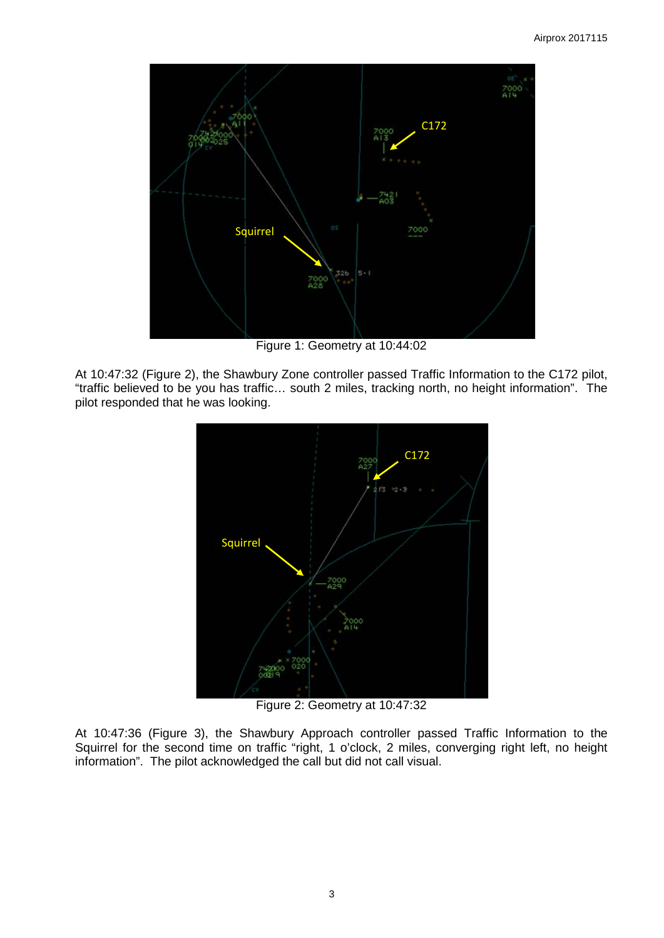

Figure 1: Geometry at 10:44:02

At 10:47:32 (Figure 2), the Shawbury Zone controller passed Traffic Information to the C172 pilot, "traffic believed to be you has traffic… south 2 miles, tracking north, no height information". The pilot responded that he was looking.



Figure 2: Geometry at 10:47:32

At 10:47:36 (Figure 3), the Shawbury Approach controller passed Traffic Information to the Squirrel for the second time on traffic "right, 1 o'clock, 2 miles, converging right left, no height information". The pilot acknowledged the call but did not call visual.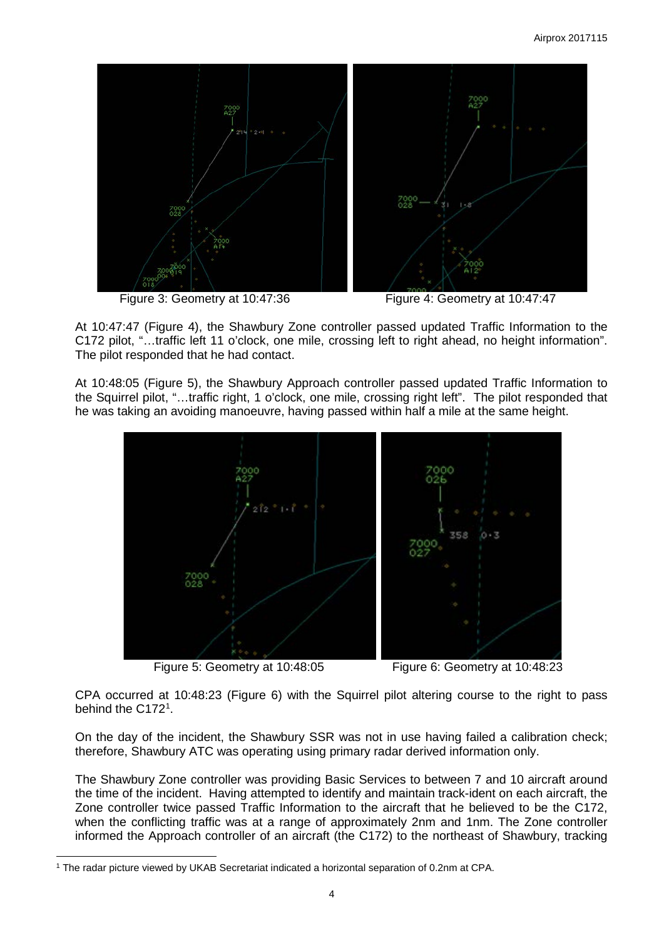

Figure 3: Geometry at 10:47:36 Figure 4: Geometry at 10:47:47

At 10:47:47 (Figure 4), the Shawbury Zone controller passed updated Traffic Information to the C172 pilot, "…traffic left 11 o'clock, one mile, crossing left to right ahead, no height information". The pilot responded that he had contact.

At 10:48:05 (Figure 5), the Shawbury Approach controller passed updated Traffic Information to the Squirrel pilot, "…traffic right, 1 o'clock, one mile, crossing right left". The pilot responded that he was taking an avoiding manoeuvre, having passed within half a mile at the same height.



Figure 5: Geometry at 10:48:05 Figure 6: Geometry at 10:48:23

 $\overline{\phantom{a}}$ 

CPA occurred at 10:48:23 (Figure 6) with the Squirrel pilot altering course to the right to pass behind the C[1](#page-3-0)72<sup>1</sup>.

On the day of the incident, the Shawbury SSR was not in use having failed a calibration check; therefore, Shawbury ATC was operating using primary radar derived information only.

The Shawbury Zone controller was providing Basic Services to between 7 and 10 aircraft around the time of the incident. Having attempted to identify and maintain track-ident on each aircraft, the Zone controller twice passed Traffic Information to the aircraft that he believed to be the C172, when the conflicting traffic was at a range of approximately 2nm and 1nm. The Zone controller informed the Approach controller of an aircraft (the C172) to the northeast of Shawbury, tracking

<span id="page-3-0"></span><sup>1</sup> The radar picture viewed by UKAB Secretariat indicated a horizontal separation of 0.2nm at CPA.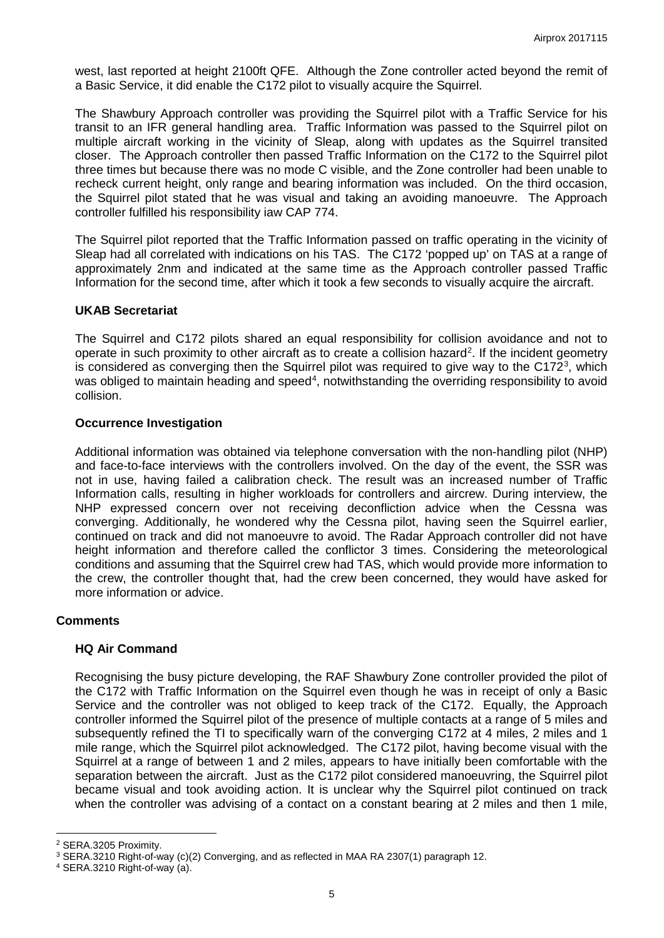west, last reported at height 2100ft QFE. Although the Zone controller acted beyond the remit of a Basic Service, it did enable the C172 pilot to visually acquire the Squirrel.

The Shawbury Approach controller was providing the Squirrel pilot with a Traffic Service for his transit to an IFR general handling area. Traffic Information was passed to the Squirrel pilot on multiple aircraft working in the vicinity of Sleap, along with updates as the Squirrel transited closer. The Approach controller then passed Traffic Information on the C172 to the Squirrel pilot three times but because there was no mode C visible, and the Zone controller had been unable to recheck current height, only range and bearing information was included. On the third occasion, the Squirrel pilot stated that he was visual and taking an avoiding manoeuvre. The Approach controller fulfilled his responsibility iaw CAP 774.

The Squirrel pilot reported that the Traffic Information passed on traffic operating in the vicinity of Sleap had all correlated with indications on his TAS. The C172 'popped up' on TAS at a range of approximately 2nm and indicated at the same time as the Approach controller passed Traffic Information for the second time, after which it took a few seconds to visually acquire the aircraft.

### **UKAB Secretariat**

The Squirrel and C172 pilots shared an equal responsibility for collision avoidance and not to operate in such proximity to other aircraft as to create a collision hazard<sup>[2](#page-4-0)</sup>. If the incident geometry is considered as converging then the Squirrel pilot was required to give way to the C172<sup>[3](#page-4-1)</sup>, which was obliged to maintain heading and speed<sup>[4](#page-4-2)</sup>, notwithstanding the overriding responsibility to avoid collision.

### **Occurrence Investigation**

Additional information was obtained via telephone conversation with the non-handling pilot (NHP) and face-to-face interviews with the controllers involved. On the day of the event, the SSR was not in use, having failed a calibration check. The result was an increased number of Traffic Information calls, resulting in higher workloads for controllers and aircrew. During interview, the NHP expressed concern over not receiving deconfliction advice when the Cessna was converging. Additionally, he wondered why the Cessna pilot, having seen the Squirrel earlier, continued on track and did not manoeuvre to avoid. The Radar Approach controller did not have height information and therefore called the conflictor 3 times. Considering the meteorological conditions and assuming that the Squirrel crew had TAS, which would provide more information to the crew, the controller thought that, had the crew been concerned, they would have asked for more information or advice.

## **Comments**

## **HQ Air Command**

Recognising the busy picture developing, the RAF Shawbury Zone controller provided the pilot of the C172 with Traffic Information on the Squirrel even though he was in receipt of only a Basic Service and the controller was not obliged to keep track of the C172. Equally, the Approach controller informed the Squirrel pilot of the presence of multiple contacts at a range of 5 miles and subsequently refined the TI to specifically warn of the converging C172 at 4 miles, 2 miles and 1 mile range, which the Squirrel pilot acknowledged. The C172 pilot, having become visual with the Squirrel at a range of between 1 and 2 miles, appears to have initially been comfortable with the separation between the aircraft. Just as the C172 pilot considered manoeuvring, the Squirrel pilot became visual and took avoiding action. It is unclear why the Squirrel pilot continued on track when the controller was advising of a contact on a constant bearing at 2 miles and then 1 mile,

 $\overline{\phantom{a}}$ 

<span id="page-4-0"></span><sup>2</sup> SERA.3205 Proximity.

<span id="page-4-1"></span><sup>3</sup> SERA.3210 Right-of-way (c)(2) Converging, and as reflected in MAA RA 2307(1) paragraph 12.

<span id="page-4-2"></span><sup>4</sup> SERA.3210 Right-of-way (a).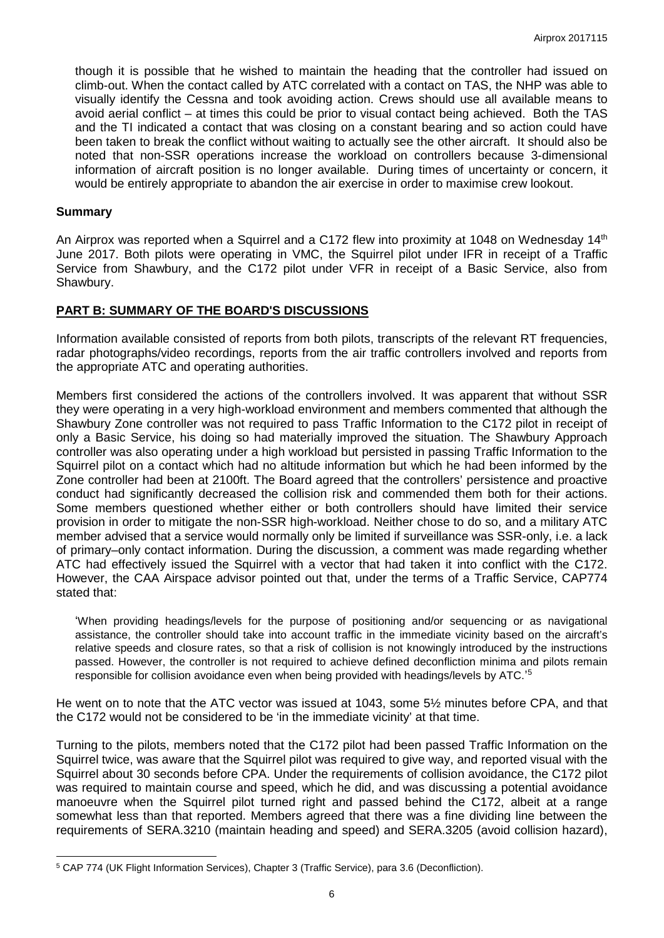though it is possible that he wished to maintain the heading that the controller had issued on climb-out. When the contact called by ATC correlated with a contact on TAS, the NHP was able to visually identify the Cessna and took avoiding action. Crews should use all available means to avoid aerial conflict – at times this could be prior to visual contact being achieved. Both the TAS and the TI indicated a contact that was closing on a constant bearing and so action could have been taken to break the conflict without waiting to actually see the other aircraft. It should also be noted that non-SSR operations increase the workload on controllers because 3-dimensional information of aircraft position is no longer available. During times of uncertainty or concern, it would be entirely appropriate to abandon the air exercise in order to maximise crew lookout.

### **Summary**

 $\overline{\phantom{a}}$ 

An Airprox was reported when a Squirrel and a C172 flew into proximity at 1048 on Wednesday 14<sup>th</sup> June 2017. Both pilots were operating in VMC, the Squirrel pilot under IFR in receipt of a Traffic Service from Shawbury, and the C172 pilot under VFR in receipt of a Basic Service, also from Shawbury.

## **PART B: SUMMARY OF THE BOARD'S DISCUSSIONS**

Information available consisted of reports from both pilots, transcripts of the relevant RT frequencies, radar photographs/video recordings, reports from the air traffic controllers involved and reports from the appropriate ATC and operating authorities.

Members first considered the actions of the controllers involved. It was apparent that without SSR they were operating in a very high-workload environment and members commented that although the Shawbury Zone controller was not required to pass Traffic Information to the C172 pilot in receipt of only a Basic Service, his doing so had materially improved the situation. The Shawbury Approach controller was also operating under a high workload but persisted in passing Traffic Information to the Squirrel pilot on a contact which had no altitude information but which he had been informed by the Zone controller had been at 2100ft. The Board agreed that the controllers' persistence and proactive conduct had significantly decreased the collision risk and commended them both for their actions. Some members questioned whether either or both controllers should have limited their service provision in order to mitigate the non-SSR high-workload. Neither chose to do so, and a military ATC member advised that a service would normally only be limited if surveillance was SSR-only, i.e. a lack of primary–only contact information. During the discussion, a comment was made regarding whether ATC had effectively issued the Squirrel with a vector that had taken it into conflict with the C172. However, the CAA Airspace advisor pointed out that, under the terms of a Traffic Service, CAP774 stated that:

'When providing headings/levels for the purpose of positioning and/or sequencing or as navigational assistance, the controller should take into account traffic in the immediate vicinity based on the aircraft's relative speeds and closure rates, so that a risk of collision is not knowingly introduced by the instructions passed. However, the controller is not required to achieve defined deconfliction minima and pilots remain responsible for collision avoidance even when being provided with headings/levels by ATC.<sup>1[5](#page-5-0)</sup>

He went on to note that the ATC vector was issued at 1043, some 5½ minutes before CPA, and that the C172 would not be considered to be 'in the immediate vicinity' at that time.

Turning to the pilots, members noted that the C172 pilot had been passed Traffic Information on the Squirrel twice, was aware that the Squirrel pilot was required to give way, and reported visual with the Squirrel about 30 seconds before CPA. Under the requirements of collision avoidance, the C172 pilot was required to maintain course and speed, which he did, and was discussing a potential avoidance manoeuvre when the Squirrel pilot turned right and passed behind the C172, albeit at a range somewhat less than that reported. Members agreed that there was a fine dividing line between the requirements of SERA.3210 (maintain heading and speed) and SERA.3205 (avoid collision hazard),

<span id="page-5-0"></span><sup>5</sup> CAP 774 (UK Flight Information Services), Chapter 3 (Traffic Service), para 3.6 (Deconfliction).